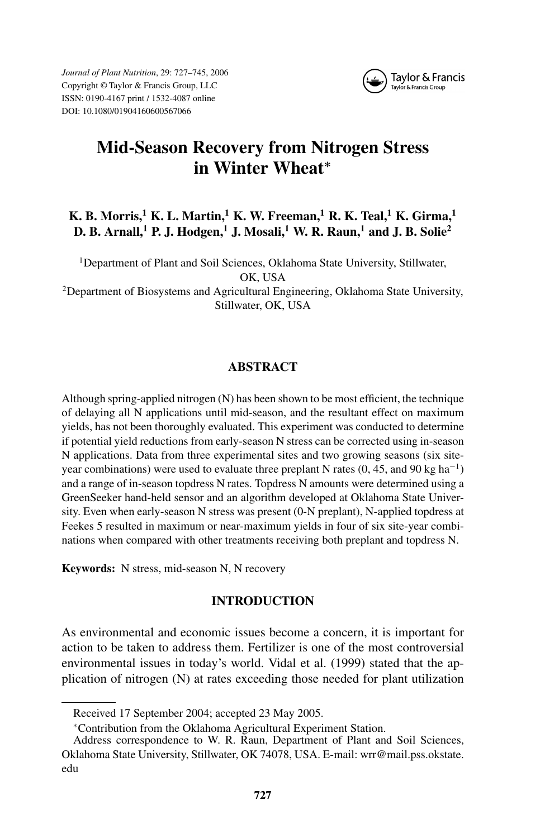*Journal of Plant Nutrition*, 29: 727–745, 2006 Copyright © Taylor & Francis Group, LLC ISSN: 0190-4167 print / 1532-4087 online DOI: 10.1080/01904160600567066



# **Mid-Season Recovery from Nitrogen Stress in Winter Wheat***<sup>∗</sup>*

# **K. B. Morris,<sup>1</sup> K. L. Martin,<sup>1</sup> K. W. Freeman,<sup>1</sup> R. K. Teal,<sup>1</sup> K. Girma,<sup>1</sup> D. B. Arnall,<sup>1</sup> P. J. Hodgen,<sup>1</sup> J. Mosali,<sup>1</sup> W. R. Raun,<sup>1</sup> and J. B. Solie<sup>2</sup>**

<sup>1</sup>Department of Plant and Soil Sciences, Oklahoma State University, Stillwater, OK, USA <sup>2</sup>Department of Biosystems and Agricultural Engineering, Oklahoma State University,

Stillwater, OK, USA

# **ABSTRACT**

Although spring-applied nitrogen (N) has been shown to be most efficient, the technique of delaying all N applications until mid-season, and the resultant effect on maximum yields, has not been thoroughly evaluated. This experiment was conducted to determine if potential yield reductions from early-season N stress can be corrected using in-season N applications. Data from three experimental sites and two growing seasons (six siteyear combinations) were used to evaluate three preplant N rates (0, 45, and 90 kg ha<sup>-1</sup>) and a range of in-season topdress N rates. Topdress N amounts were determined using a GreenSeeker hand-held sensor and an algorithm developed at Oklahoma State University. Even when early-season N stress was present (0-N preplant), N-applied topdress at Feekes 5 resulted in maximum or near-maximum yields in four of six site-year combinations when compared with other treatments receiving both preplant and topdress N.

**Keywords:** N stress, mid-season N, N recovery

# **INTRODUCTION**

As environmental and economic issues become a concern, it is important for action to be taken to address them. Fertilizer is one of the most controversial environmental issues in today's world. Vidal et al. (1999) stated that the application of nitrogen (N) at rates exceeding those needed for plant utilization

Received 17 September 2004; accepted 23 May 2005.

<sup>∗</sup>Contribution from the Oklahoma Agricultural Experiment Station.

Address correspondence to W. R. Raun, Department of Plant and Soil Sciences, Oklahoma State University, Stillwater, OK 74078, USA. E-mail: wrr@mail.pss.okstate. edu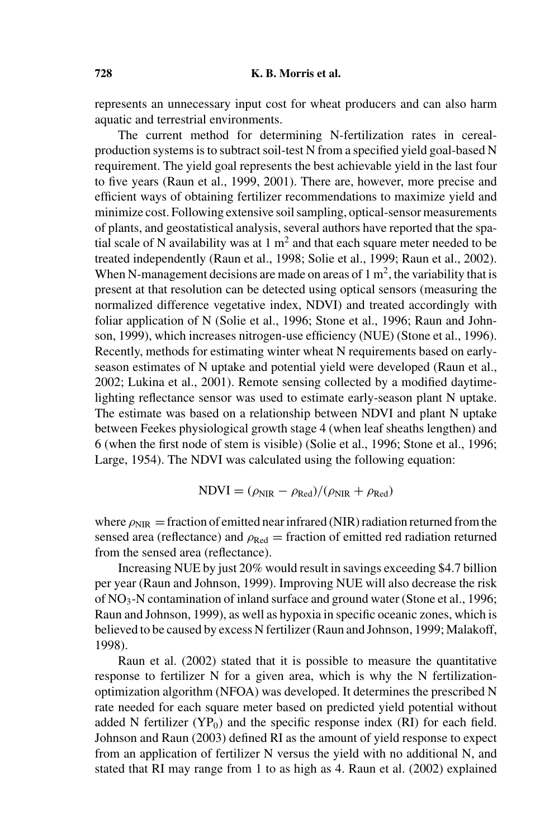represents an unnecessary input cost for wheat producers and can also harm aquatic and terrestrial environments.

The current method for determining N-fertilization rates in cerealproduction systems is to subtract soil-test N from a specified yield goal-based N requirement. The yield goal represents the best achievable yield in the last four to five years (Raun et al., 1999, 2001). There are, however, more precise and efficient ways of obtaining fertilizer recommendations to maximize yield and minimize cost. Following extensive soil sampling, optical-sensor measurements of plants, and geostatistical analysis, several authors have reported that the spatial scale of N availability was at 1  $m<sup>2</sup>$  and that each square meter needed to be treated independently (Raun et al., 1998; Solie et al., 1999; Raun et al., 2002). When N-management decisions are made on areas of  $1 \text{ m}^2$ , the variability that is present at that resolution can be detected using optical sensors (measuring the normalized difference vegetative index, NDVI) and treated accordingly with foliar application of N (Solie et al., 1996; Stone et al., 1996; Raun and Johnson, 1999), which increases nitrogen-use efficiency (NUE) (Stone et al., 1996). Recently, methods for estimating winter wheat N requirements based on earlyseason estimates of N uptake and potential yield were developed (Raun et al., 2002; Lukina et al., 2001). Remote sensing collected by a modified daytimelighting reflectance sensor was used to estimate early-season plant N uptake. The estimate was based on a relationship between NDVI and plant N uptake between Feekes physiological growth stage 4 (when leaf sheaths lengthen) and 6 (when the first node of stem is visible) (Solie et al., 1996; Stone et al., 1996; Large, 1954). The NDVI was calculated using the following equation:

$$
NDVI = (\rho_{NIR} - \rho_{Red})/(\rho_{NIR} + \rho_{Red})
$$

where  $\rho_{\text{NIR}} =$  fraction of emitted near infrared (NIR) radiation returned from the sensed area (reflectance) and  $\rho_{\text{Red}} =$  fraction of emitted red radiation returned from the sensed area (reflectance).

Increasing NUE by just 20% would result in savings exceeding \$4.7 billion per year (Raun and Johnson, 1999). Improving NUE will also decrease the risk of  $NO<sub>3</sub>$ -N contamination of inland surface and ground water (Stone et al., 1996; Raun and Johnson, 1999), as well as hypoxia in specific oceanic zones, which is believed to be caused by excess N fertilizer (Raun and Johnson, 1999; Malakoff, 1998).

Raun et al. (2002) stated that it is possible to measure the quantitative response to fertilizer N for a given area, which is why the N fertilizationoptimization algorithm (NFOA) was developed. It determines the prescribed N rate needed for each square meter based on predicted yield potential without added N fertilizer  $(YP_0)$  and the specific response index  $(RI)$  for each field. Johnson and Raun (2003) defined RI as the amount of yield response to expect from an application of fertilizer N versus the yield with no additional N, and stated that RI may range from 1 to as high as 4. Raun et al. (2002) explained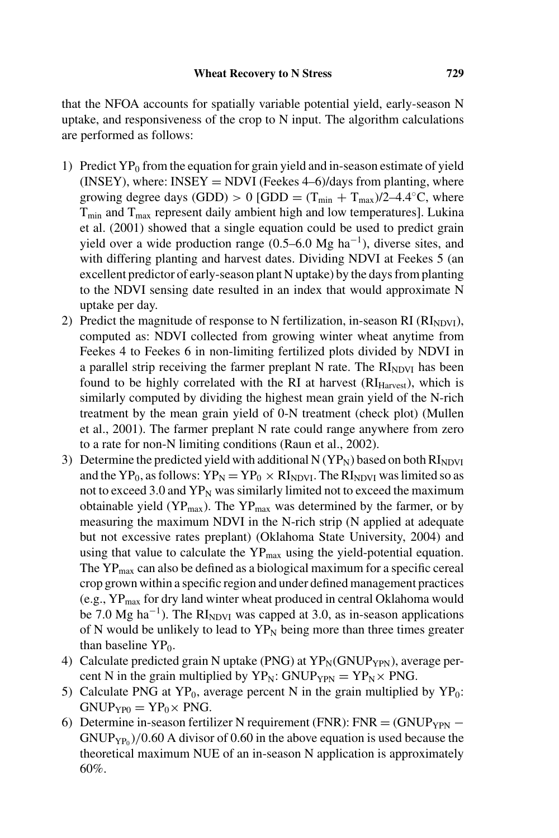that the NFOA accounts for spatially variable potential yield, early-season N uptake, and responsiveness of the crop to N input. The algorithm calculations are performed as follows:

- 1) Predict  $YP_0$  from the equation for grain yield and in-season estimate of yield (INSEY), where: INSEY = NDVI (Feekes  $4-6$ )/days from planting, where growing degree days (GDD) > 0 [GDD =  $(T_{min} + T_{max})/2-4.4\degree C$ , where  $T_{\text{min}}$  and  $T_{\text{max}}$  represent daily ambient high and low temperatures]. Lukina et al. (2001) showed that a single equation could be used to predict grain yield over a wide production range  $(0.5–6.0 \text{ Mg ha}^{-1})$ , diverse sites, and with differing planting and harvest dates. Dividing NDVI at Feekes 5 (an excellent predictor of early-season plant N uptake) by the days from planting to the NDVI sensing date resulted in an index that would approximate N uptake per day.
- 2) Predict the magnitude of response to N fertilization, in-season RI ( $\rm{RI}_{NDVI}$ ), computed as: NDVI collected from growing winter wheat anytime from Feekes 4 to Feekes 6 in non-limiting fertilized plots divided by NDVI in a parallel strip receiving the farmer preplant N rate. The  $RI<sub>NDVI</sub>$  has been found to be highly correlated with the RI at harvest  $(RI_{\text{Harvest}})$ , which is similarly computed by dividing the highest mean grain yield of the N-rich treatment by the mean grain yield of 0-N treatment (check plot) (Mullen et al., 2001). The farmer preplant N rate could range anywhere from zero to a rate for non-N limiting conditions (Raun et al., 2002).
- 3) Determine the predicted yield with additional N  $(YP_N)$  based on both  $RI_{NDVI}$ and the YP<sub>0</sub>, as follows:  $YP_N = YP_0 \times RI_{NDVI}$ . The  $RI_{NDVI}$  was limited so as not to exceed 3.0 and  $YP_N$  was similarly limited not to exceed the maximum obtainable yield ( $YP_{\text{max}}$ ). The  $YP_{\text{max}}$  was determined by the farmer, or by measuring the maximum NDVI in the N-rich strip (N applied at adequate but not excessive rates preplant) (Oklahoma State University, 2004) and using that value to calculate the  $YP_{\text{max}}$  using the yield-potential equation. The  $YP_{\text{max}}$  can also be defined as a biological maximum for a specific cereal crop grown within a specific region and under defined management practices (e.g., YPmax for dry land winter wheat produced in central Oklahoma would be 7.0 Mg ha<sup>-1</sup>). The RI<sub>NDVI</sub> was capped at 3.0, as in-season applications of N would be unlikely to lead to  $YP<sub>N</sub>$  being more than three times greater than baseline  $YP<sub>0</sub>$ .
- 4) Calculate predicted grain N uptake (PNG) at  $YP_N(GNUP_{YPN})$ , average percent N in the grain multiplied by  $YP_N$ : GNUP<sub>YPN</sub> =  $YP_N \times PNG$ .
- 5) Calculate PNG at  $YP_0$ , average percent N in the grain multiplied by  $YP_0$ :  $GNUP_{YP0} = YP_0 \times PNG.$
- 6) Determine in-season fertilizer N requirement (FNR): FNR =  $(GNUP<sub>YPN</sub>$   $GNUP_{YP<sub>0</sub>}/0.60$  A divisor of 0.60 in the above equation is used because the theoretical maximum NUE of an in-season N application is approximately 60%.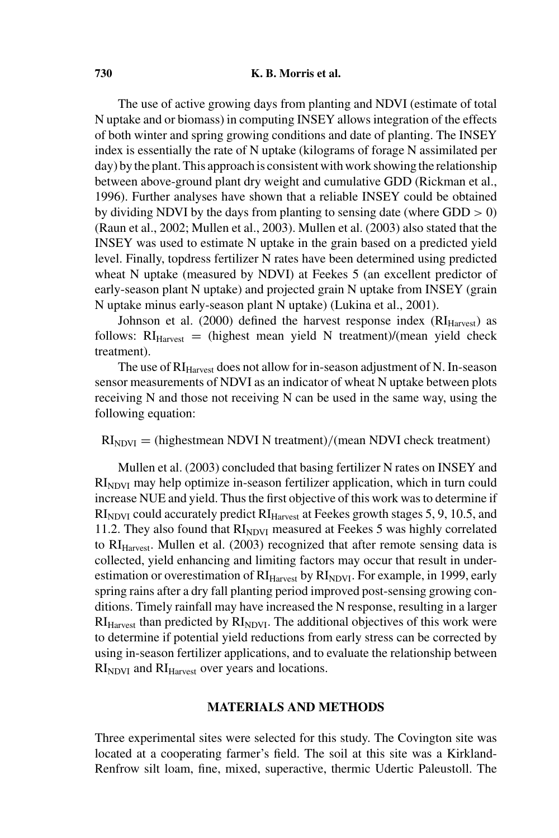The use of active growing days from planting and NDVI (estimate of total N uptake and or biomass) in computing INSEY allows integration of the effects of both winter and spring growing conditions and date of planting. The INSEY index is essentially the rate of N uptake (kilograms of forage N assimilated per day) by the plant. This approach is consistent with work showing the relationship between above-ground plant dry weight and cumulative GDD (Rickman et al., 1996). Further analyses have shown that a reliable INSEY could be obtained by dividing NDVI by the days from planting to sensing date (where  $GDD > 0$ ) (Raun et al., 2002; Mullen et al., 2003). Mullen et al. (2003) also stated that the INSEY was used to estimate N uptake in the grain based on a predicted yield level. Finally, topdress fertilizer N rates have been determined using predicted wheat N uptake (measured by NDVI) at Feekes 5 (an excellent predictor of early-season plant N uptake) and projected grain N uptake from INSEY (grain N uptake minus early-season plant N uptake) (Lukina et al., 2001).

Johnson et al. (2000) defined the harvest response index  $(RI_{\text{Harvest}})$  as follows:  $RI<sub>Harvest</sub>$  = (highest mean yield N treatment)/(mean yield check treatment).

The use of RI<sub>Harvest</sub> does not allow for in-season adjustment of N. In-season sensor measurements of NDVI as an indicator of wheat N uptake between plots receiving N and those not receiving N can be used in the same way, using the following equation:

 $RI<sub>NDVI</sub>$  = (highestmean NDVI N treatment)/(mean NDVI check treatment)

Mullen et al. (2003) concluded that basing fertilizer N rates on INSEY and RI<sub>NDVI</sub> may help optimize in-season fertilizer application, which in turn could increase NUE and yield. Thus the first objective of this work was to determine if  $RI<sub>NDVI</sub>$  could accurately predict  $RI<sub>Harvest</sub>$  at Feekes growth stages 5, 9, 10.5, and 11.2. They also found that  $RI<sub>NDVI</sub>$  measured at Feekes 5 was highly correlated to  $RI<sub>Harvest</sub>$ . Mullen et al. (2003) recognized that after remote sensing data is collected, yield enhancing and limiting factors may occur that result in underestimation or overestimation of  $RI<sub>Harvest</sub>$  by  $RI<sub>NDVI</sub>$ . For example, in 1999, early spring rains after a dry fall planting period improved post-sensing growing conditions. Timely rainfall may have increased the N response, resulting in a larger  $RI<sub>Harvest</sub>$  than predicted by  $RI<sub>NDVI</sub>$ . The additional objectives of this work were to determine if potential yield reductions from early stress can be corrected by using in-season fertilizer applications, and to evaluate the relationship between  $RI<sub>NDVI</sub>$  and  $RI<sub>Harvest</sub>$  over years and locations.

# **MATERIALS AND METHODS**

Three experimental sites were selected for this study. The Covington site was located at a cooperating farmer's field. The soil at this site was a Kirkland-Renfrow silt loam, fine, mixed, superactive, thermic Udertic Paleustoll. The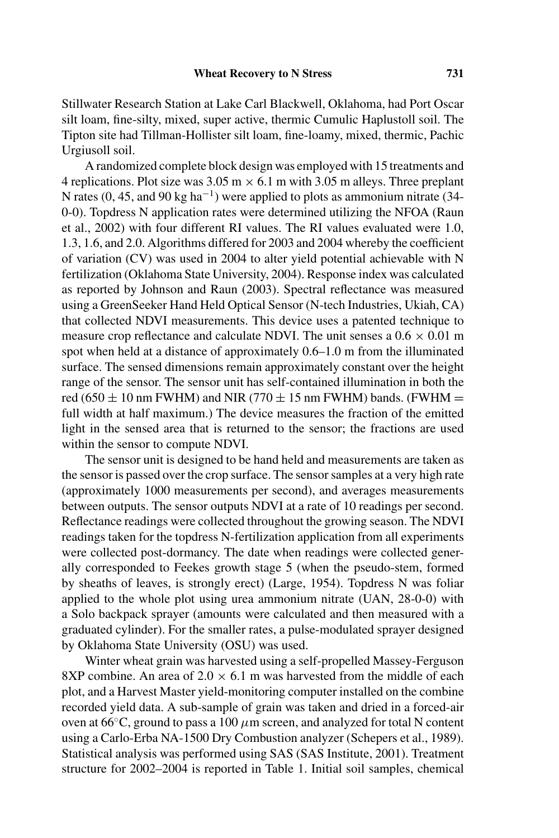Stillwater Research Station at Lake Carl Blackwell, Oklahoma, had Port Oscar silt loam, fine-silty, mixed, super active, thermic Cumulic Haplustoll soil. The Tipton site had Tillman-Hollister silt loam, fine-loamy, mixed, thermic, Pachic Urgiusoll soil.

A randomized complete block design was employed with 15 treatments and 4 replications. Plot size was  $3.05 \text{ m} \times 6.1 \text{ m}$  with  $3.05 \text{ m}$  alleys. Three preplant N rates (0, 45, and 90 kg ha<sup>-1</sup>) were applied to plots as ammonium nitrate (34-0-0). Topdress N application rates were determined utilizing the NFOA (Raun et al., 2002) with four different RI values. The RI values evaluated were 1.0, 1.3, 1.6, and 2.0. Algorithms differed for 2003 and 2004 whereby the coefficient of variation (CV) was used in 2004 to alter yield potential achievable with N fertilization (Oklahoma State University, 2004). Response index was calculated as reported by Johnson and Raun (2003). Spectral reflectance was measured using a GreenSeeker Hand Held Optical Sensor (N-tech Industries, Ukiah, CA) that collected NDVI measurements. This device uses a patented technique to measure crop reflectance and calculate NDVI. The unit senses a  $0.6 \times 0.01$  m spot when held at a distance of approximately 0.6–1.0 m from the illuminated surface. The sensed dimensions remain approximately constant over the height range of the sensor. The sensor unit has self-contained illumination in both the red (650  $\pm$  10 nm FWHM) and NIR (770  $\pm$  15 nm FWHM) bands. (FWHM  $=$ full width at half maximum.) The device measures the fraction of the emitted light in the sensed area that is returned to the sensor; the fractions are used within the sensor to compute NDVI.

The sensor unit is designed to be hand held and measurements are taken as the sensor is passed over the crop surface. The sensor samples at a very high rate (approximately 1000 measurements per second), and averages measurements between outputs. The sensor outputs NDVI at a rate of 10 readings per second. Reflectance readings were collected throughout the growing season. The NDVI readings taken for the topdress N-fertilization application from all experiments were collected post-dormancy. The date when readings were collected generally corresponded to Feekes growth stage 5 (when the pseudo-stem, formed by sheaths of leaves, is strongly erect) (Large, 1954). Topdress N was foliar applied to the whole plot using urea ammonium nitrate (UAN, 28-0-0) with a Solo backpack sprayer (amounts were calculated and then measured with a graduated cylinder). For the smaller rates, a pulse-modulated sprayer designed by Oklahoma State University (OSU) was used.

Winter wheat grain was harvested using a self-propelled Massey-Ferguson 8XP combine. An area of  $2.0 \times 6.1$  m was harvested from the middle of each plot, and a Harvest Master yield-monitoring computer installed on the combine recorded yield data. A sub-sample of grain was taken and dried in a forced-air oven at  $66^{\circ}$ C, ground to pass a 100  $\mu$ m screen, and analyzed for total N content using a Carlo-Erba NA-1500 Dry Combustion analyzer (Schepers et al., 1989). Statistical analysis was performed using SAS (SAS Institute, 2001). Treatment structure for 2002–2004 is reported in Table 1. Initial soil samples, chemical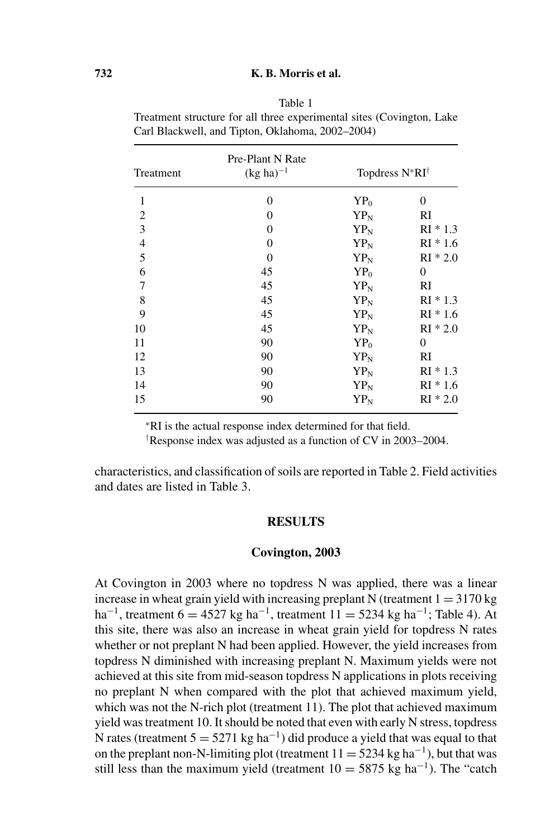|                | Carl Blackwell, and Tipton, Oklahoma, 2002-2004) |                                   |                |  |
|----------------|--------------------------------------------------|-----------------------------------|----------------|--|
| Treatment      | Pre-Plant N Rate<br>$(kg ha)^{-1}$               | Topdress N*RI <sup>†</sup>        |                |  |
| 1              | 0                                                | $YP_0$                            | $\mathbf{0}$   |  |
| $\overline{c}$ | $\theta$                                         | $YP_N$                            | RI             |  |
| 3              | $\Omega$                                         | $YP_N$                            | $RI * 1.3$     |  |
| $\overline{4}$ | $\Omega$                                         | $YP_N$                            | $RI * 1.6$     |  |
| 5              | $\Omega$                                         | $YP_N$                            | $RI * 2.0$     |  |
| 6              | 45                                               | $YP_0$                            | $\overline{0}$ |  |
| 7              | 45                                               | $YP_N$                            | RI             |  |
| 8              | 45                                               | $YP_N$                            | $RI * 1.3$     |  |
| 9              | 45                                               | $YP_N$                            | $RI * 1.6$     |  |
| 10             | 45                                               | $\mathbf{Y}\mathbf{P}_\mathrm{N}$ | $RI * 2.0$     |  |
| 11             | 90                                               | $YP_0$                            | $\overline{0}$ |  |
| 12             | 90                                               | $YP_N$                            | RI             |  |
| 13             | 90                                               | $YP_N$                            | $RI * 1.3$     |  |
| 14             | 90                                               | $YP_N$                            | $RI * 1.6$     |  |
| 15             | 90                                               | $YP_N$                            | $RI * 2.0$     |  |

| Table 1                                                               |
|-----------------------------------------------------------------------|
| Treatment structure for all three experimental sites (Covington, Lake |
| Carl Blackwell, and Tipton, Oklahoma, 2002–2004)                      |

<sup>∗</sup>RI is the actual response index determined for that field.

† Response index was adjusted as a function of CV in 2003–2004.

characteristics, and classification of soils are reported in Table 2. Field activities and dates are listed in Table 3.

### **RESULTS**

#### **Covington, 2003**

At Covington in 2003 where no topdress N was applied, there was a linear increase in wheat grain yield with increasing preplant N (treatment  $1 = 3170 \text{ kg}$ ) ha<sup>-1</sup>, treatment 6 = 4527 kg ha<sup>-1</sup>, treatment 11 = 5234 kg ha<sup>-1</sup>; Table 4). At this site, there was also an increase in wheat grain yield for topdress N rates whether or not preplant N had been applied. However, the yield increases from topdress N diminished with increasing preplant N. Maximum yields were not achieved at this site from mid-season topdress N applications in plots receiving no preplant N when compared with the plot that achieved maximum yield, which was not the N-rich plot (treatment 11). The plot that achieved maximum yield was treatment 10. It should be noted that even with early N stress, topdress N rates (treatment  $5 = 5271 \text{ kg ha}^{-1}$ ) did produce a yield that was equal to that on the preplant non-N-limiting plot (treatment  $11 = 5234$  kg ha<sup>-1</sup>), but that was still less than the maximum yield (treatment  $10 = 5875$  kg ha<sup>-1</sup>). The "catch"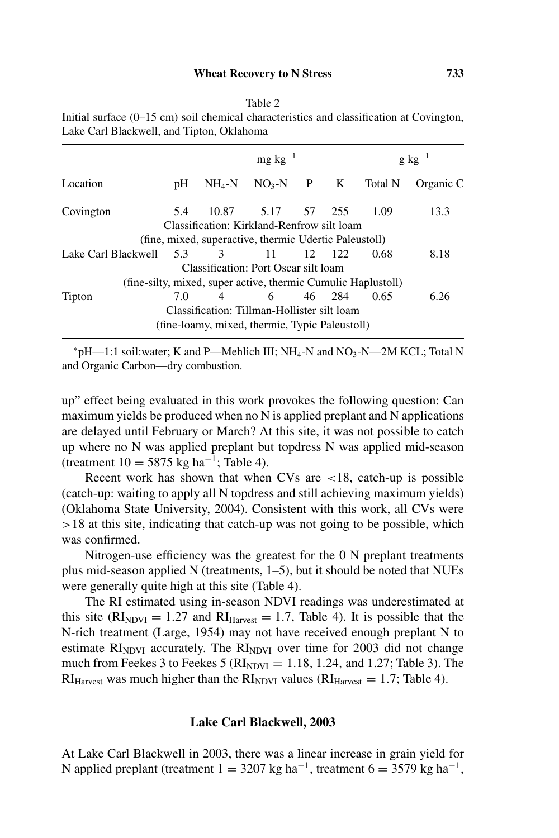|                     | $mg \text{ kg}^{-1}$ |                |                                                               |  |                | $g kg^{-1}$ |           |  |
|---------------------|----------------------|----------------|---------------------------------------------------------------|--|----------------|-------------|-----------|--|
| Location            | pH                   | $NH_4-N$       | $NO3-N$                                                       |  | P K            | Total N     | Organic C |  |
| Covington           | 5.4                  |                | 10.87 5.17 57 255                                             |  |                | 1.09        | 13.3      |  |
|                     |                      |                | Classification: Kirkland-Renfrow silt loam                    |  |                |             |           |  |
|                     |                      |                | (fine, mixed, superactive, thermic Udertic Paleustoll)        |  |                |             |           |  |
| Lake Carl Blackwell | 5.3                  | $\mathcal{E}$  | 11                                                            |  | $12 \quad 122$ | 0.68        | 8.18      |  |
|                     |                      |                | Classification: Port Oscar silt loam                          |  |                |             |           |  |
|                     |                      |                | (fine-silty, mixed, super active, thermic Cumulic Haplustoll) |  |                |             |           |  |
| Tipton              | 7.0                  | $\overline{4}$ | 6 —                                                           |  | 46 284         | 0.65        | 6.26      |  |
|                     |                      |                | Classification: Tillman-Hollister silt loam                   |  |                |             |           |  |
|                     |                      |                | (fine-loamy, mixed, thermic, Typic Paleustoll)                |  |                |             |           |  |

Table 2 Initial surface (0–15 cm) soil chemical characteristics and classification at Covington, Lake Carl Blackwell, and Tipton, Oklahoma

 $*pH$ —1:1 soil:water; K and P—Mehlich III; NH<sub>4</sub>-N and NO<sub>3</sub>-N—2M KCL; Total N and Organic Carbon—dry combustion.

up" effect being evaluated in this work provokes the following question: Can maximum yields be produced when no N is applied preplant and N applications are delayed until February or March? At this site, it was not possible to catch up where no N was applied preplant but topdress N was applied mid-season (treatment  $10 = 5875$  kg ha<sup>-1</sup>; Table 4).

Recent work has shown that when CVs are <18, catch-up is possible (catch-up: waiting to apply all N topdress and still achieving maximum yields) (Oklahoma State University, 2004). Consistent with this work, all CVs were >18 at this site, indicating that catch-up was not going to be possible, which was confirmed.

Nitrogen-use efficiency was the greatest for the 0 N preplant treatments plus mid-season applied N (treatments, 1–5), but it should be noted that NUEs were generally quite high at this site (Table 4).

The RI estimated using in-season NDVI readings was underestimated at this site ( $\text{RI}_{\text{NDVI}} = 1.27$  and  $\text{RI}_{\text{Harvest}} = 1.7$ , Table 4). It is possible that the N-rich treatment (Large, 1954) may not have received enough preplant N to estimate  $RI<sub>NDVI</sub>$  accurately. The  $RI<sub>NDVI</sub>$  over time for 2003 did not change much from Feekes 3 to Feekes 5 ( $\text{RI}_{NDVI} = 1.18, 1.24,$  and 1.27; Table 3). The  $RI<sub>Harvest</sub>$  was much higher than the  $RI<sub>NDVI</sub>$  values ( $RI<sub>Harvest</sub> = 1.7$ ; Table 4).

#### **Lake Carl Blackwell, 2003**

At Lake Carl Blackwell in 2003, there was a linear increase in grain yield for N applied preplant (treatment  $1 = 3207$  kg ha<sup>-1</sup>, treatment  $6 = 3579$  kg ha<sup>-1</sup>,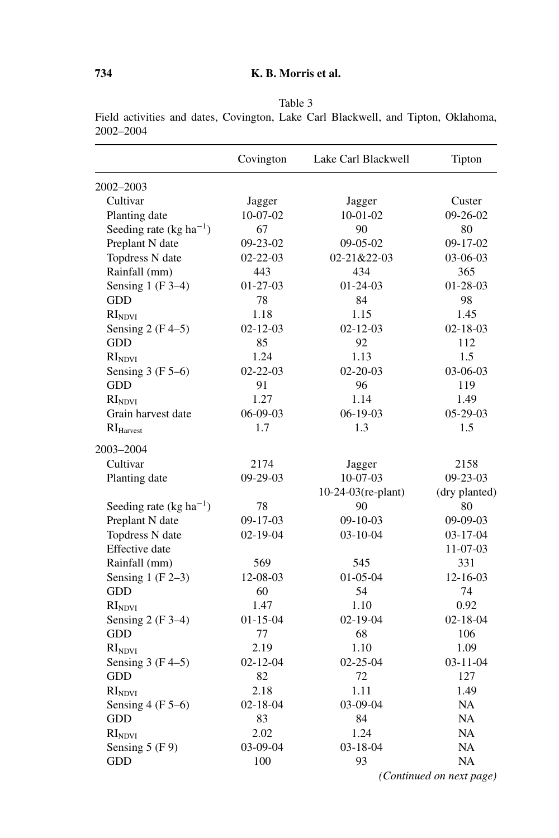|                                     | Covington      | Lake Carl Blackwell | Tipton         |
|-------------------------------------|----------------|---------------------|----------------|
| 2002-2003                           |                |                     |                |
| Cultivar                            | Jagger         | Jagger              | Custer         |
| Planting date                       | $10-07-02$     | $10-01-02$          | $09-26-02$     |
| Seeding rate (kg ha <sup>-1</sup> ) | 67             | 90                  | 80             |
| Preplant N date                     | $09 - 23 - 02$ | $09-05-02$          | $09-17-02$     |
| Topdress N date                     | $02 - 22 - 03$ | 02-21&22-03         | $03-06-03$     |
| Rainfall (mm)                       | 443            | 434                 | 365            |
| Sensing 1 (F $3-4$ )                | $01-27-03$     | $01 - 24 - 03$      | $01 - 28 - 03$ |
| <b>GDD</b>                          | 78             | 84                  | 98             |
| RI <sub>NDVI</sub>                  | 1.18           | 1.15                | 1.45           |
| Sensing $2(F4-5)$                   | $02 - 12 - 03$ | $02 - 12 - 03$      | $02 - 18 - 03$ |
| <b>GDD</b>                          | 85             | 92                  | 112            |
| RI <sub>NDVI</sub>                  | 1.24           | 1.13                | 1.5            |
| Sensing $3(F5-6)$                   | $02 - 22 - 03$ | $02 - 20 - 03$      | 03-06-03       |
| <b>GDD</b>                          | 91             | 96                  | 119            |
| RI <sub>NDVI</sub>                  | 1.27           | 1.14                | 1.49           |
| Grain harvest date                  | 06-09-03       | $06-19-03$          | 05-29-03       |
| RI <sub>Harvest</sub>               | 1.7            | 1.3                 | 1.5            |
| 2003-2004                           |                |                     |                |
| Cultivar                            | 2174           | Jagger              | 2158           |
| Planting date                       | $09-29-03$     | $10-07-03$          | $09 - 23 - 03$ |
|                                     |                | 10-24-03(re-plant)  | (dry planted)  |
| Seeding rate (kg ha <sup>-1</sup> ) | 78             | 90                  | 80             |
| Preplant N date                     | 09-17-03       | $09-10-03$          | 09-09-03       |
| Topdress N date                     | $02 - 19 - 04$ | $03 - 10 - 04$      | $03 - 17 - 04$ |
| <b>Effective</b> date               |                |                     | $11 - 07 - 03$ |
| Rainfall (mm)                       | 569            | 545                 | 331            |
| Sensing $1(F2-3)$                   | 12-08-03       | $01-05-04$          | $12 - 16 - 03$ |
| <b>GDD</b>                          | 60             | 54                  | 74             |
| RI <sub>NDVI</sub>                  | 1.47           | 1.10                | 0.92           |
| Sensing $2(F3-4)$                   | $01 - 15 - 04$ | $02 - 19 - 04$      | $02 - 18 - 04$ |
| <b>GDD</b>                          | 77             | 68                  | 106            |
| RI <sub>NDVI</sub>                  | 2.19           | 1.10                | 1.09           |
| Sensing $3(F4-5)$                   | $02 - 12 - 04$ | $02 - 25 - 04$      | $03 - 11 - 04$ |
| GDD                                 | 82             | 72                  | 127            |
| RI <sub>NDVI</sub>                  | 2.18           | 1.11                | 1.49           |
| Sensing $4(F5-6)$                   | $02 - 18 - 04$ | 03-09-04            | <b>NA</b>      |
| <b>GDD</b>                          | 83             | 84                  | <b>NA</b>      |
| RI <sub>NDVI</sub>                  | 2.02           | 1.24                | <b>NA</b>      |
| Sensing $5(F9)$                     | 03-09-04       | $03 - 18 - 04$      | <b>NA</b>      |
| GDD                                 | 100            | 93                  | <b>NA</b>      |

Table 3 Field activities and dates, Covington, Lake Carl Blackwell, and Tipton, Oklahoma, 2002–2004

*(Continued on next page)*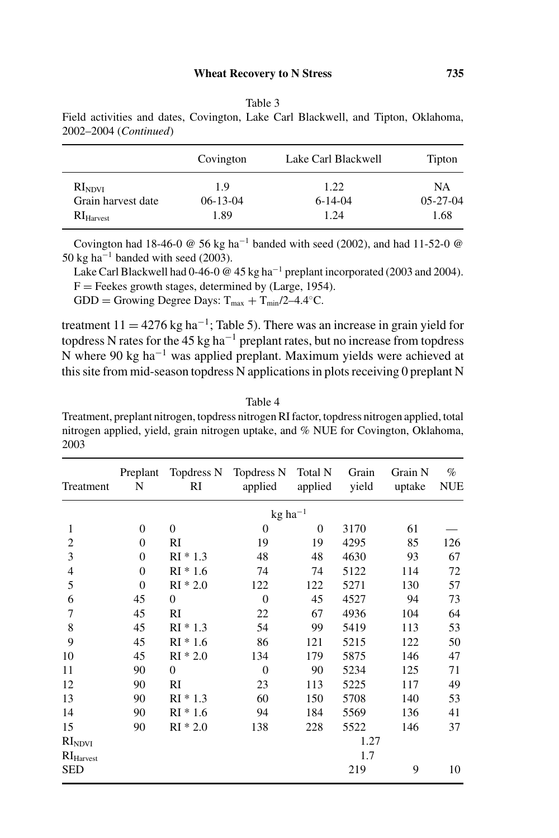| ۰<br>٧<br>× |  |
|-------------|--|
|-------------|--|

| 2002–2004 (Continued) |           |                     |        |
|-----------------------|-----------|---------------------|--------|
|                       | Covington | Lake Carl Blackwell | Tipton |
| RI <sub>NDVI</sub>    | 19        | 122                 | NΑ     |

Grain harvest date  $06-13-04$  6-14-04 05-27-04  $\text{RI}_{\text{Harvest}}$  1.89 1.24 1.68

Field activities and dates, Covington, Lake Carl Blackwell, and Tipton, Oklahoma,

Covington had 18-46-0 @ 56 kg ha−<sup>1</sup> banded with seed (2002), and had 11-52-0 @ 50 kg ha<sup> $-1$ </sup> banded with seed (2003).

Lake Carl Blackwell had 0-46-0  $\omega$  45 kg ha<sup>-1</sup> preplant incorporated (2003 and 2004).  $F =$  Feekes growth stages, determined by (Large, 1954).

GDD = Growing Degree Days:  $T_{max} + T_{min}/2 - 4.4 °C$ .

treatment  $11 = 4276$  kg ha<sup>-1</sup>; Table 5). There was an increase in grain yield for topdress N rates for the 45 kg ha−<sup>1</sup> preplant rates, but no increase from topdress N where 90 kg ha−<sup>1</sup> was applied preplant. Maximum yields were achieved at this site from mid-season topdress N applications in plots receiving 0 preplant N

Table 4 Treatment, preplant nitrogen, topdress nitrogen RI factor, topdress nitrogen applied, total nitrogen applied, yield, grain nitrogen uptake, and % NUE for Covington, Oklahoma, 2003

| Treatment             | Preplant<br>N  | Topdress N<br>RI | Topdress N<br>applied | Total N<br>applied | Grain<br>yield | Grain N<br>uptake | $\%$<br><b>NUE</b> |
|-----------------------|----------------|------------------|-----------------------|--------------------|----------------|-------------------|--------------------|
|                       |                |                  | $kg$ ha <sup>-1</sup> |                    |                |                   |                    |
| 1                     | 0              | $\overline{0}$   | $\overline{0}$        | $\mathbf{0}$       | 3170           | 61                |                    |
| $\overline{c}$        | 0              | RI               | 19                    | 19                 | 4295           | 85                | 126                |
| 3                     | 0              | $RI * 1.3$       | 48                    | 48                 | 4630           | 93                | 67                 |
| $\overline{4}$        | 0              | $RI * 1.6$       | 74                    | 74                 | 5122           | 114               | 72                 |
| 5                     | $\overline{0}$ | $RI * 2.0$       | 122                   | 122                | 5271           | 130               | 57                 |
| 6                     | 45             | $\theta$         | $\Omega$              | 45                 | 4527           | 94                | 73                 |
| 7                     | 45             | RI               | 22                    | 67                 | 4936           | 104               | 64                 |
| 8                     | 45             | $RI * 1.3$       | 54                    | 99                 | 5419           | 113               | 53                 |
| 9                     | 45             | $RI * 1.6$       | 86                    | 121                | 5215           | 122               | 50                 |
| 10                    | 45             | $RI * 2.0$       | 134                   | 179                | 5875           | 146               | 47                 |
| 11                    | 90             | $\Omega$         | $\Omega$              | 90                 | 5234           | 125               | 71                 |
| 12                    | 90             | RI               | 23                    | 113                | 5225           | 117               | 49                 |
| 13                    | 90             | $RI * 1.3$       | 60                    | 150                | 5708           | 140               | 53                 |
| 14                    | 90             | $RI * 1.6$       | 94                    | 184                | 5569           | 136               | 41                 |
| 15                    | 90             | $RI * 2.0$       | 138                   | 228                | 5522           | 146               | 37                 |
| RI <sub>NDVI</sub>    |                |                  |                       |                    | 1.27           |                   |                    |
| RI <sub>Harvest</sub> |                |                  |                       |                    | 1.7            |                   |                    |
| <b>SED</b>            |                |                  |                       |                    | 219            | 9                 | 10                 |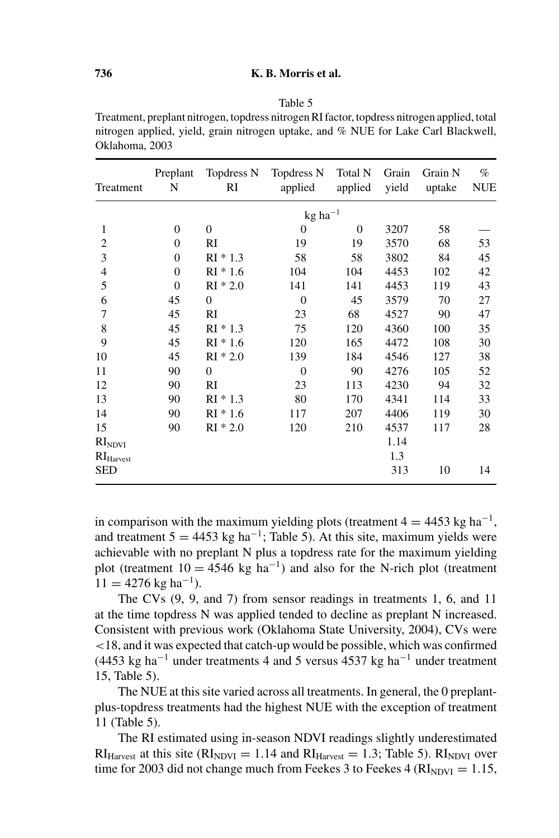#### Table 5

Treatment, preplant nitrogen, topdress nitrogen RI factor, topdress nitrogen applied, total nitrogen applied, yield, grain nitrogen uptake, and % NUE for Lake Carl Blackwell, Oklahoma, 2003

| Treatment       | Preplant<br>N  | Topdress N<br>RI | Topdress N<br>applied              | Total N<br>applied | Grain<br>yield | Grain N<br>uptake | $\%$<br><b>NUE</b> |
|-----------------|----------------|------------------|------------------------------------|--------------------|----------------|-------------------|--------------------|
|                 |                |                  | $kg$ ha <sup><math>-1</math></sup> |                    |                |                   |                    |
| 1               | $\mathbf{0}$   | $\Omega$         | $\overline{0}$                     | $\overline{0}$     | 3207           | 58                |                    |
| 2               | $\overline{0}$ | RI               | 19                                 | 19                 | 3570           | 68                | 53                 |
| 3               | $\theta$       | $RI * 1.3$       | 58                                 | 58                 | 3802           | 84                | 45                 |
| 4               | $\overline{0}$ | $RI * 1.6$       | 104                                | 104                | 4453           | 102               | 42                 |
| 5               | $\theta$       | $RI * 2.0$       | 141                                | 141                | 4453           | 119               | 43                 |
| 6               | 45             | $\boldsymbol{0}$ | $\theta$                           | 45                 | 3579           | 70                | 27                 |
| 7               | 45             | RI               | 23                                 | 68                 | 4527           | 90                | 47                 |
| 8               | 45             | $RI * 1.3$       | 75                                 | 120                | 4360           | 100               | 35                 |
| 9               | 45             | $RI * 1.6$       | 120                                | 165                | 4472           | 108               | 30                 |
| 10              | 45             | $RI * 2.0$       | 139                                | 184                | 4546           | 127               | 38                 |
| 11              | 90             | $\boldsymbol{0}$ | $\overline{0}$                     | 90                 | 4276           | 105               | 52                 |
| 12              | 90             | RI               | 23                                 | 113                | 4230           | 94                | 32                 |
| 13              | 90             | $RI * 1.3$       | 80                                 | 170                | 4341           | 114               | 33                 |
| 14              | 90             | $RI * 1.6$       | 117                                | 207                | 4406           | 119               | 30                 |
| 15              | 90             | $RI * 2.0$       | 120                                | 210                | 4537           | 117               | 28                 |
| $\rm RI_{NDVI}$ |                |                  |                                    |                    | 1.14           |                   |                    |
| $RI_{Harvest}$  |                |                  |                                    |                    | 1.3            |                   |                    |
| SED             |                |                  |                                    |                    | 313            | 10                | 14                 |

in comparison with the maximum yielding plots (treatment  $4 = 4453$  kg ha<sup>-1</sup>, and treatment  $5 = 4453$  kg ha<sup>-1</sup>; Table 5). At this site, maximum yields were achievable with no preplant N plus a topdress rate for the maximum yielding plot (treatment  $10 = 4546$  kg ha<sup>-1</sup>) and also for the N-rich plot (treatment  $11 = 4276$  kg ha<sup>-1</sup>).

The CVs (9, 9, and 7) from sensor readings in treatments 1, 6, and 11 at the time topdress N was applied tended to decline as preplant N increased. Consistent with previous work (Oklahoma State University, 2004), CVs were <18, and it was expected that catch-up would be possible, which was confirmed (4453 kg ha<sup>-1</sup> under treatments 4 and 5 versus 4537 kg ha<sup>-1</sup> under treatment 15, Table 5).

The NUE at this site varied across all treatments. In general, the 0 preplantplus-topdress treatments had the highest NUE with the exception of treatment 11 (Table 5).

The RI estimated using in-season NDVI readings slightly underestimated  $RI<sub>Harvest</sub>$  at this site ( $RI<sub>NDVI</sub> = 1.14$  and  $RI<sub>Harvest</sub> = 1.3$ ; Table 5).  $RI<sub>NDVI</sub>$  over time for 2003 did not change much from Feekes 3 to Feekes 4 ( $RI<sub>NDVI</sub> = 1.15$ ,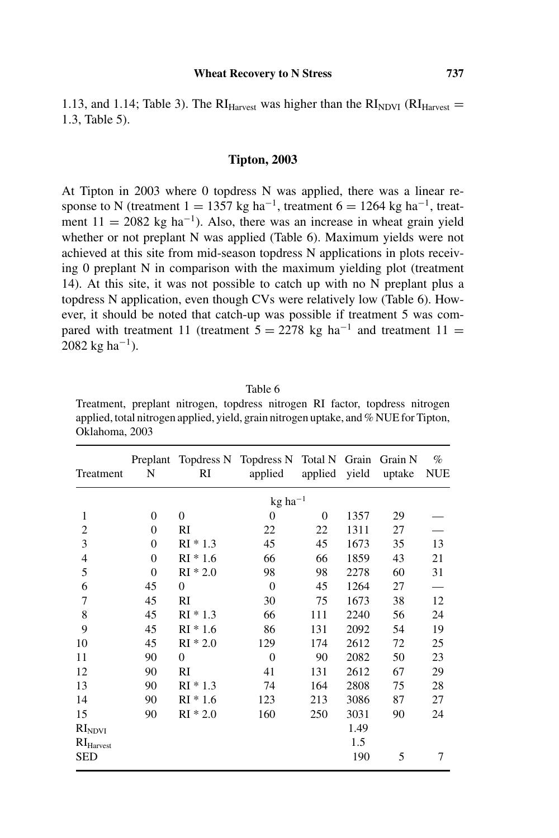1.13, and 1.14; Table 3). The  $RI<sub>Harvest</sub>$  was higher than the  $RI<sub>NDVI</sub>$  ( $RI<sub>Harvest</sub>$ ) 1.3, Table 5).

## **Tipton, 2003**

At Tipton in 2003 where 0 topdress N was applied, there was a linear response to N (treatment  $1 = 1357$  kg ha<sup>-1</sup>, treatment  $6 = 1264$  kg ha<sup>-1</sup>, treatment  $11 = 2082$  kg ha<sup>-1</sup>). Also, there was an increase in wheat grain yield whether or not preplant N was applied (Table 6). Maximum yields were not achieved at this site from mid-season topdress N applications in plots receiving 0 preplant N in comparison with the maximum yielding plot (treatment 14). At this site, it was not possible to catch up with no N preplant plus a topdress N application, even though CVs were relatively low (Table 6). However, it should be noted that catch-up was possible if treatment 5 was compared with treatment 11 (treatment  $5 = 2278$  kg ha<sup>-1</sup> and treatment 11 = 2082 kg ha<sup>-1</sup>).

Table 6

Treatment, preplant nitrogen, topdress nitrogen RI factor, topdress nitrogen applied, total nitrogen applied, yield, grain nitrogen uptake, and % NUE for Tipton, Oklahoma, 2003

| Treatment                      | Preplant<br>N | RI         | Topdress N Topdress N Total N<br>applied | applied        | Grain<br>yield | Grain N<br>uptake | $\%$<br><b>NUE</b> |
|--------------------------------|---------------|------------|------------------------------------------|----------------|----------------|-------------------|--------------------|
|                                |               |            | $kg$ ha <sup><math>-1</math></sup>       |                |                |                   |                    |
| 1                              | $\mathbf{0}$  | $\Omega$   | 0                                        | $\overline{0}$ | 1357           | 29                |                    |
| $\overline{2}$                 | $\theta$      | RI         | 22                                       | 22             | 1311           | 27                |                    |
| 3                              | $\Omega$      | $RI * 1.3$ | 45                                       | 45             | 1673           | 35                | 13                 |
| 4                              | 0             | $RI * 1.6$ | 66                                       | 66             | 1859           | 43                | 21                 |
| 5                              | $\theta$      | $RI * 2.0$ | 98                                       | 98             | 2278           | 60                | 31                 |
| 6                              | 45            | $\theta$   | $\overline{0}$                           | 45             | 1264           | 27                |                    |
| 7                              | 45            | RI         | 30                                       | 75             | 1673           | 38                | 12                 |
| 8                              | 45            | $RI * 1.3$ | 66                                       | 111            | 2240           | 56                | 24                 |
| 9                              | 45            | $RI * 1.6$ | 86                                       | 131            | 2092           | 54                | 19                 |
| 10                             | 45            | $RI * 2.0$ | 129                                      | 174            | 2612           | 72                | 25                 |
| 11                             | 90            | $\theta$   | $\theta$                                 | 90             | 2082           | 50                | 23                 |
| 12                             | 90            | RI         | 41                                       | 131            | 2612           | 67                | 29                 |
| 13                             | 90            | $RI * 1.3$ | 74                                       | 164            | 2808           | 75                | 28                 |
| 14                             | 90            | $RI * 1.6$ | 123                                      | 213            | 3086           | 87                | 27                 |
| 15                             | 90            | $RI * 2.0$ | 160                                      | 250            | 3031           | 90                | 24                 |
| RI <sub>NDVI</sub>             |               |            |                                          |                | 1.49           |                   |                    |
| $\mathrm{RI}_\mathrm{Harvest}$ |               |            |                                          |                | 1.5            |                   |                    |
| <b>SED</b>                     |               |            |                                          |                | 190            | 5                 | 7                  |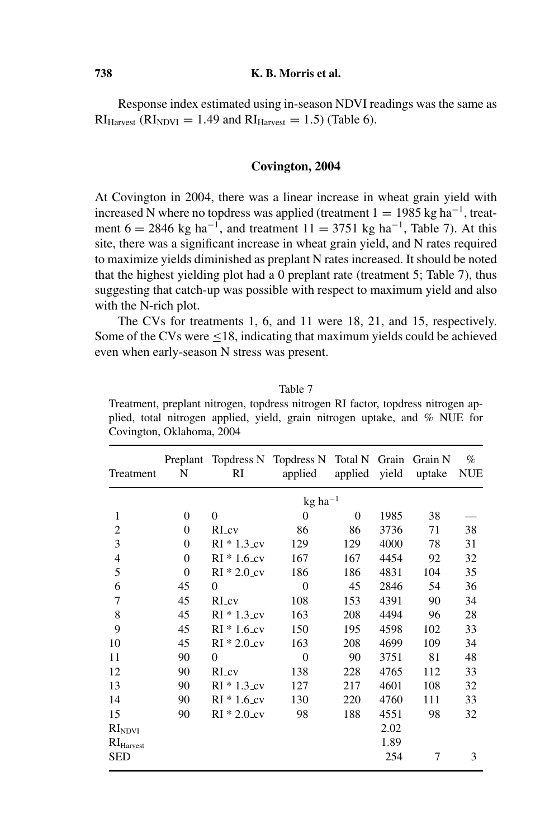Response index estimated using in-season NDVI readings was the same as  $RI<sub>Harvest</sub>$  ( $RI<sub>NDVI</sub> = 1.49$  and  $RI<sub>Harvest</sub> = 1.5$ ) (Table 6).

#### **Covington, 2004**

At Covington in 2004, there was a linear increase in wheat grain yield with increased N where no topdress was applied (treatment  $1 = 1985$  kg ha<sup>-1</sup>, treatment  $6 = 2846$  kg ha<sup>-1</sup>, and treatment  $11 = 3751$  kg ha<sup>-1</sup>, Table 7). At this site, there was a significant increase in wheat grain yield, and N rates required to maximize yields diminished as preplant N rates increased. It should be noted that the highest yielding plot had a 0 preplant rate (treatment 5; Table 7), thus suggesting that catch-up was possible with respect to maximum yield and also with the N-rich plot.

The CVs for treatments 1, 6, and 11 were 18, 21, and 15, respectively. Some of the CVs were <18, indicating that maximum yields could be achieved even when early-season N stress was present.

Table 7 Treatment, preplant nitrogen, topdress nitrogen RI factor, topdress nitrogen applied, total nitrogen applied, yield, grain nitrogen uptake, and % NUE for Covington, Oklahoma, 2004

| Treatment                      | N        | Preplant Topdress N Topdress N Total N<br>RI | applied                            | applied  | Grain<br>yield | Grain N<br>uptake | $\%$<br><b>NUE</b> |
|--------------------------------|----------|----------------------------------------------|------------------------------------|----------|----------------|-------------------|--------------------|
|                                |          |                                              | $kg$ ha <sup><math>-1</math></sup> |          |                |                   |                    |
| 1                              | $\Omega$ | $\theta$                                     | $\Omega$                           | $\Omega$ | 1985           | 38                |                    |
| $\overline{2}$                 | $\Omega$ | RL <sub>cv</sub>                             | 86                                 | 86       | 3736           | 71                | 38                 |
| 3                              | $\Omega$ | $RI * 1.3$ cv                                | 129                                | 129      | 4000           | 78                | 31                 |
| 4                              | $\Omega$ | $RI * 1.6$ cv                                | 167                                | 167      | 4454           | 92                | 32                 |
| 5                              | $\Omega$ | $RI * 2.0$ cv                                | 186                                | 186      | 4831           | 104               | 35                 |
| 6                              | 45       | $\Omega$                                     | $\theta$                           | 45       | 2846           | 54                | 36                 |
| 7                              | 45       | RI_cv                                        | 108                                | 153      | 4391           | 90                | 34                 |
| 8                              | 45       | $RI * 1.3$ <sub>cv</sub>                     | 163                                | 208      | 4494           | 96                | 28                 |
| 9                              | 45       | $RI * 1.6$ <sub>cv</sub>                     | 150                                | 195      | 4598           | 102               | 33                 |
| 10                             | 45       | $RI * 2.0$ cv                                | 163                                | 208      | 4699           | 109               | 34                 |
| 11                             | 90       | $\theta$                                     | $\theta$                           | 90       | 3751           | 81                | 48                 |
| 12                             | 90       | RL <sub>cv</sub>                             | 138                                | 228      | 4765           | 112               | 33                 |
| 13                             | 90       | $RI * 1.3 cv$                                | 127                                | 217      | 4601           | 108               | 32                 |
| 14                             | 90       | $RI * 1.6$ cv                                | 130                                | 220      | 4760           | 111               | 33                 |
| 15                             | 90       | $RI * 2.0$ cv                                | 98                                 | 188      | 4551           | 98                | 32                 |
| RI <sub>NDVI</sub>             |          |                                              |                                    |          | 2.02           |                   |                    |
| $\mathrm{RI}_\mathrm{Harvest}$ |          |                                              |                                    |          | 1.89           |                   |                    |
| SED                            |          |                                              |                                    |          | 254            | 7                 | 3                  |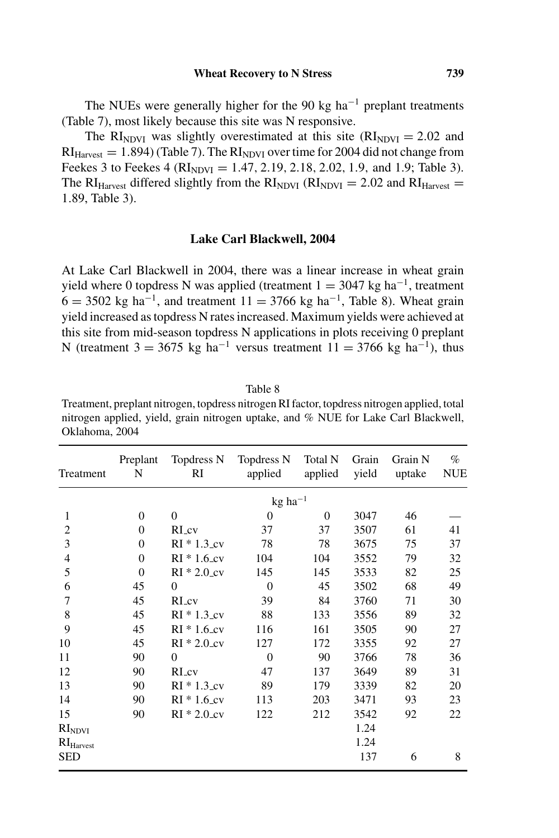The NUEs were generally higher for the 90 kg ha<sup> $-1$ </sup> preplant treatments (Table 7), most likely because this site was N responsive.

The RI<sub>NDVI</sub> was slightly overestimated at this site ( $RI<sub>NDUI</sub> = 2.02$  and  $RI<sub>Harvest</sub> = 1.894$  (Table 7). The  $RI<sub>NDVI</sub>$  over time for 2004 did not change from Feekes 3 to Feekes 4 ( $RI<sub>NDVI</sub> = 1.47, 2.19, 2.18, 2.02, 1.9,$  and 1.9; Table 3). The RI<sub>Harvest</sub> differed slightly from the  $RI_{NDVI}$  ( $RI_{NDVI} = 2.02$  and  $RI_{Harvest} =$ 1.89, Table 3).

## **Lake Carl Blackwell, 2004**

At Lake Carl Blackwell in 2004, there was a linear increase in wheat grain yield where 0 topdress N was applied (treatment  $1 = 3047$  kg ha<sup>-1</sup>, treatment  $6 = 3502$  kg ha<sup>-1</sup>, and treatment  $11 = 3766$  kg ha<sup>-1</sup>, Table 8). Wheat grain yield increased as topdress N rates increased. Maximum yields were achieved at this site from mid-season topdress N applications in plots receiving 0 preplant N (treatment  $3 = 3675$  kg ha<sup>-1</sup> versus treatment  $11 = 3766$  kg ha<sup>-1</sup>), thus

Table 8 Treatment, preplant nitrogen, topdress nitrogen RI factor, topdress nitrogen applied, total nitrogen applied, yield, grain nitrogen uptake, and % NUE for Lake Carl Blackwell, Oklahoma, 2004

| Treatment             | Preplant<br>N  | Topdress N<br>RI | Topdress N<br>applied              | Total N<br>applied | Grain<br>yield | Grain N<br>uptake | $\%$<br><b>NUE</b> |
|-----------------------|----------------|------------------|------------------------------------|--------------------|----------------|-------------------|--------------------|
|                       |                |                  | $kg$ ha <sup><math>-1</math></sup> |                    |                |                   |                    |
| 1                     | $\overline{0}$ | $\overline{0}$   | 0                                  | $\overline{0}$     | 3047           | 46                |                    |
| $\overline{c}$        | $\theta$       | RI cv            | 37                                 | 37                 | 3507           | 61                | 41                 |
| 3                     | $\theta$       | $RI * 1.3 cv$    | 78                                 | 78                 | 3675           | 75                | 37                 |
| $\overline{4}$        | $\theta$       | $RI * 1.6$ cv    | 104                                | 104                | 3552           | 79                | 32                 |
| 5                     | $\theta$       | $RI * 2.0$ cv    | 145                                | 145                | 3533           | 82                | 25                 |
| 6                     | 45             | $\theta$         | $\Omega$                           | 45                 | 3502           | 68                | 49                 |
| 7                     | 45             | RI cv            | 39                                 | 84                 | 3760           | 71                | 30                 |
| 8                     | 45             | $RI * 1.3 cv$    | 88                                 | 133                | 3556           | 89                | 32                 |
| 9                     | 45             | $RI * 1.6$ cv    | 116                                | 161                | 3505           | 90                | 27                 |
| 10                    | 45             | $RI * 2.0$ cv    | 127                                | 172                | 3355           | 92                | 27                 |
| 11                    | 90             | $\theta$         | $\Omega$                           | 90                 | 3766           | 78                | 36                 |
| 12                    | 90             | RI_cv            | 47                                 | 137                | 3649           | 89                | 31                 |
| 13                    | 90             | $RI * 1.3$ cv    | 89                                 | 179                | 3339           | 82                | 20                 |
| 14                    | 90             | $RI * 1.6$ cv    | 113                                | 203                | 3471           | 93                | 23                 |
| 15                    | 90             | $RI * 2.0 cv$    | 122                                | 212                | 3542           | 92                | 22                 |
| RI <sub>NDVI</sub>    |                |                  |                                    |                    | 1.24           |                   |                    |
| RI <sub>Harvest</sub> |                |                  |                                    |                    | 1.24           |                   |                    |
| <b>SED</b>            |                |                  |                                    |                    | 137            | 6                 | 8                  |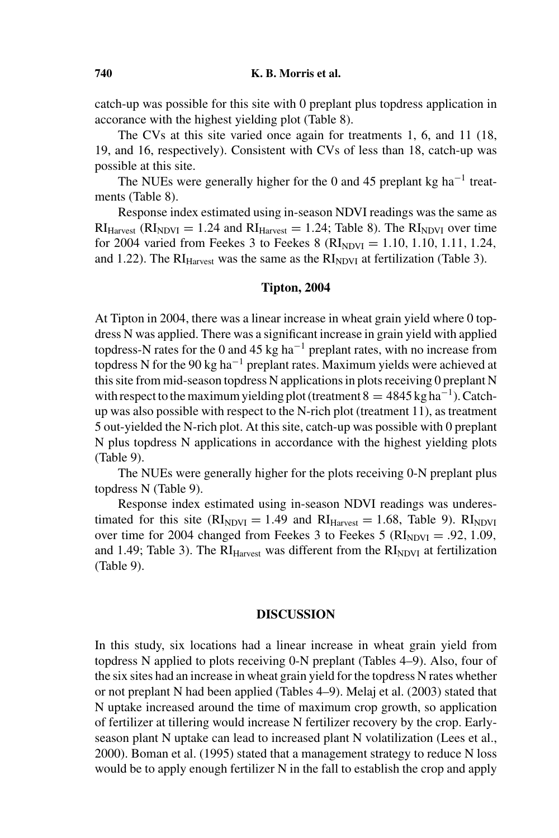catch-up was possible for this site with 0 preplant plus topdress application in accorance with the highest yielding plot (Table 8).

The CVs at this site varied once again for treatments 1, 6, and 11 (18, 19, and 16, respectively). Consistent with CVs of less than 18, catch-up was possible at this site.

The NUEs were generally higher for the 0 and 45 preplant kg ha<sup> $-1$ </sup> treatments (Table 8).

Response index estimated using in-season NDVI readings was the same as  $RI<sub>Harvest</sub>$  ( $RI<sub>NDVI</sub> = 1.24$  and  $RI<sub>Harvest</sub> = 1.24$ ; Table 8). The  $RI<sub>NDVI</sub>$  over time for 2004 varied from Feekes 3 to Feekes 8 ( $\text{RI}_{NDVI} = 1.10, 1.10, 1.11, 1.24$ , and 1.22). The  $RI<sub>Harvest</sub>$  was the same as the  $RI<sub>NDVI</sub>$  at fertilization (Table 3).

#### **Tipton, 2004**

At Tipton in 2004, there was a linear increase in wheat grain yield where 0 topdress N was applied. There was a significant increase in grain yield with applied topdress-N rates for the 0 and 45 kg ha<sup> $-1$ </sup> preplant rates, with no increase from topdress N for the 90 kg ha<sup>-1</sup> preplant rates. Maximum yields were achieved at this site from mid-season topdress N applications in plots receiving 0 preplant N with respect to the maximum yielding plot (treatment  $8 = 4845 \text{ kg ha}^{-1}$ ). Catchup was also possible with respect to the N-rich plot (treatment 11), as treatment 5 out-yielded the N-rich plot. At this site, catch-up was possible with 0 preplant N plus topdress N applications in accordance with the highest yielding plots (Table 9).

The NUEs were generally higher for the plots receiving 0-N preplant plus topdress N (Table 9).

Response index estimated using in-season NDVI readings was underestimated for this site ( $\text{RI}_{\text{NDVI}} = 1.49$  and  $\text{RI}_{\text{Harvest}} = 1.68$ , Table 9).  $\text{RI}_{\text{NDVI}}$ over time for 2004 changed from Feekes 3 to Feekes 5 ( $\text{RI}_{\text{NDVI}} = .92, 1.09$ , and 1.49; Table 3). The  $RI<sub>Harvest</sub>$  was different from the  $RI<sub>NDVI</sub>$  at fertilization (Table 9).

#### **DISCUSSION**

In this study, six locations had a linear increase in wheat grain yield from topdress N applied to plots receiving 0-N preplant (Tables 4–9). Also, four of the six sites had an increase in wheat grain yield for the topdress N rates whether or not preplant N had been applied (Tables 4–9). Melaj et al. (2003) stated that N uptake increased around the time of maximum crop growth, so application of fertilizer at tillering would increase N fertilizer recovery by the crop. Earlyseason plant N uptake can lead to increased plant N volatilization (Lees et al., 2000). Boman et al. (1995) stated that a management strategy to reduce N loss would be to apply enough fertilizer N in the fall to establish the crop and apply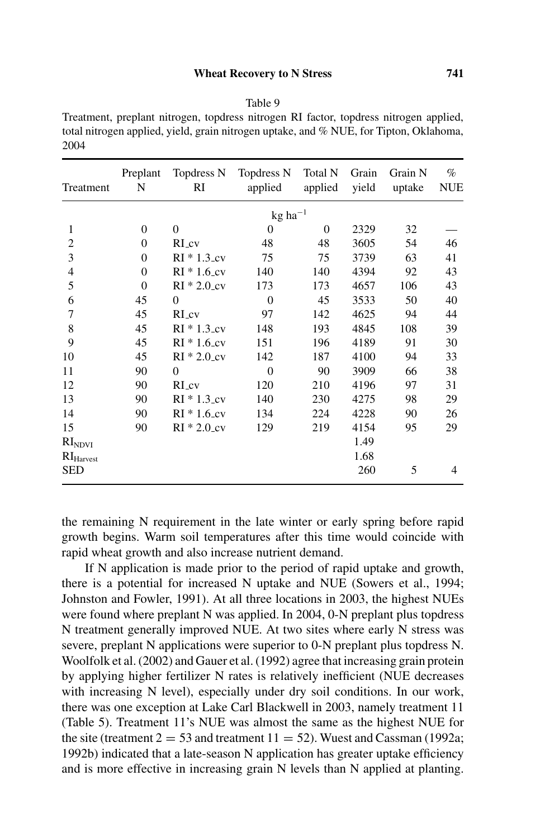### **Wheat Recovery to N Stress 741**

#### Table 9

Treatment, preplant nitrogen, topdress nitrogen RI factor, topdress nitrogen applied, total nitrogen applied, yield, grain nitrogen uptake, and % NUE, for Tipton, Oklahoma, 2004

| Treatment                      | Preplant<br>N | Topdress N<br>RI         | Topdress N<br>applied              | Total N<br>applied | Grain<br>yield | Grain N<br>uptake | $\%$<br><b>NUE</b> |
|--------------------------------|---------------|--------------------------|------------------------------------|--------------------|----------------|-------------------|--------------------|
|                                |               |                          | $kg$ ha <sup><math>-1</math></sup> |                    |                |                   |                    |
| 1                              | $\Omega$      | $\theta$                 | $\overline{0}$                     | $\overline{0}$     | 2329           | 32                |                    |
| $\overline{c}$                 | $\Omega$      | RI cv                    | 48                                 | 48                 | 3605           | 54                | 46                 |
| 3                              | $\Omega$      | $RI * 1.3 cv$            | 75                                 | 75                 | 3739           | 63                | 41                 |
| $\overline{4}$                 | $\Omega$      | $RI * 1.6 cv$            | 140                                | 140                | 4394           | 92                | 43                 |
| 5                              | $\mathbf{0}$  | $RI * 2.0$ cv            | 173                                | 173                | 4657           | 106               | 43                 |
| 6                              | 45            | $\theta$                 | $\theta$                           | 45                 | 3533           | 50                | 40                 |
| 7                              | 45            | $RI_{cv}$                | 97                                 | 142                | 4625           | 94                | 44                 |
| 8                              | 45            | $RI * 1.3$ cv            | 148                                | 193                | 4845           | 108               | 39                 |
| 9                              | 45            | $RI * 1.6$ cv            | 151                                | 196                | 4189           | 91                | 30                 |
| 10                             | 45            | $RI * 2.0$ <sub>cv</sub> | 142                                | 187                | 4100           | 94                | 33                 |
| 11                             | 90            | $\Omega$                 | $\Omega$                           | 90                 | 3909           | 66                | 38                 |
| 12                             | 90            | RI cv                    | 120                                | 210                | 4196           | 97                | 31                 |
| 13                             | 90            | $RI * 1.3 cv$            | 140                                | 230                | 4275           | 98                | 29                 |
| 14                             | 90            | $RI * 1.6$ cv            | 134                                | 224                | 4228           | 90                | 26                 |
| 15                             | 90            | $RI * 2.0$ cv            | 129                                | 219                | 4154           | 95                | 29                 |
| $\mathrm{RI}_\mathrm{NDVI}$    |               |                          |                                    |                    | 1.49           |                   |                    |
| $\mathrm{RI}_\mathrm{Harvest}$ |               |                          |                                    |                    | 1.68           |                   |                    |
| <b>SED</b>                     |               |                          |                                    |                    | 260            | 5                 | 4                  |

the remaining N requirement in the late winter or early spring before rapid growth begins. Warm soil temperatures after this time would coincide with rapid wheat growth and also increase nutrient demand.

If N application is made prior to the period of rapid uptake and growth, there is a potential for increased N uptake and NUE (Sowers et al., 1994; Johnston and Fowler, 1991). At all three locations in 2003, the highest NUEs were found where preplant N was applied. In 2004, 0-N preplant plus topdress N treatment generally improved NUE. At two sites where early N stress was severe, preplant N applications were superior to 0-N preplant plus topdress N. Woolfolk et al. (2002) and Gauer et al. (1992) agree that increasing grain protein by applying higher fertilizer N rates is relatively inefficient (NUE decreases with increasing N level), especially under dry soil conditions. In our work, there was one exception at Lake Carl Blackwell in 2003, namely treatment 11 (Table 5). Treatment 11's NUE was almost the same as the highest NUE for the site (treatment  $2 = 53$  and treatment  $11 = 52$ ). Wuest and Cassman (1992a; 1992b) indicated that a late-season N application has greater uptake efficiency and is more effective in increasing grain N levels than N applied at planting.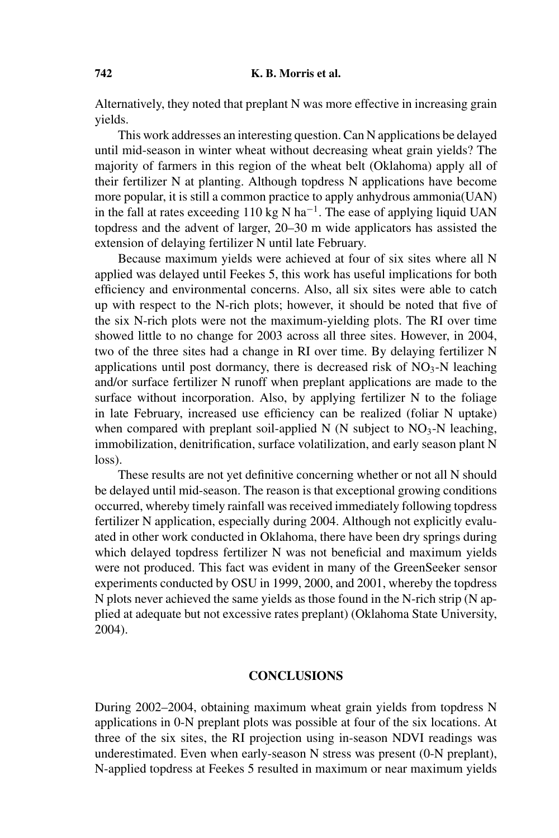Alternatively, they noted that preplant N was more effective in increasing grain yields.

This work addresses an interesting question. Can N applications be delayed until mid-season in winter wheat without decreasing wheat grain yields? The majority of farmers in this region of the wheat belt (Oklahoma) apply all of their fertilizer N at planting. Although topdress N applications have become more popular, it is still a common practice to apply anhydrous ammonia(UAN) in the fall at rates exceeding 110 kg N ha<sup> $-1$ </sup>. The ease of applying liquid UAN topdress and the advent of larger, 20–30 m wide applicators has assisted the extension of delaying fertilizer N until late February.

Because maximum yields were achieved at four of six sites where all N applied was delayed until Feekes 5, this work has useful implications for both efficiency and environmental concerns. Also, all six sites were able to catch up with respect to the N-rich plots; however, it should be noted that five of the six N-rich plots were not the maximum-yielding plots. The RI over time showed little to no change for 2003 across all three sites. However, in 2004, two of the three sites had a change in RI over time. By delaying fertilizer N applications until post dormancy, there is decreased risk of  $NO<sub>3</sub>-N$  leaching and/or surface fertilizer N runoff when preplant applications are made to the surface without incorporation. Also, by applying fertilizer N to the foliage in late February, increased use efficiency can be realized (foliar N uptake) when compared with preplant soil-applied N (N subject to  $NO<sub>3</sub>-N$  leaching, immobilization, denitrification, surface volatilization, and early season plant N loss).

These results are not yet definitive concerning whether or not all N should be delayed until mid-season. The reason is that exceptional growing conditions occurred, whereby timely rainfall was received immediately following topdress fertilizer N application, especially during 2004. Although not explicitly evaluated in other work conducted in Oklahoma, there have been dry springs during which delayed topdress fertilizer N was not beneficial and maximum yields were not produced. This fact was evident in many of the GreenSeeker sensor experiments conducted by OSU in 1999, 2000, and 2001, whereby the topdress N plots never achieved the same yields as those found in the N-rich strip (N applied at adequate but not excessive rates preplant) (Oklahoma State University, 2004).

# **CONCLUSIONS**

During 2002–2004, obtaining maximum wheat grain yields from topdress N applications in 0-N preplant plots was possible at four of the six locations. At three of the six sites, the RI projection using in-season NDVI readings was underestimated. Even when early-season N stress was present (0-N preplant), N-applied topdress at Feekes 5 resulted in maximum or near maximum yields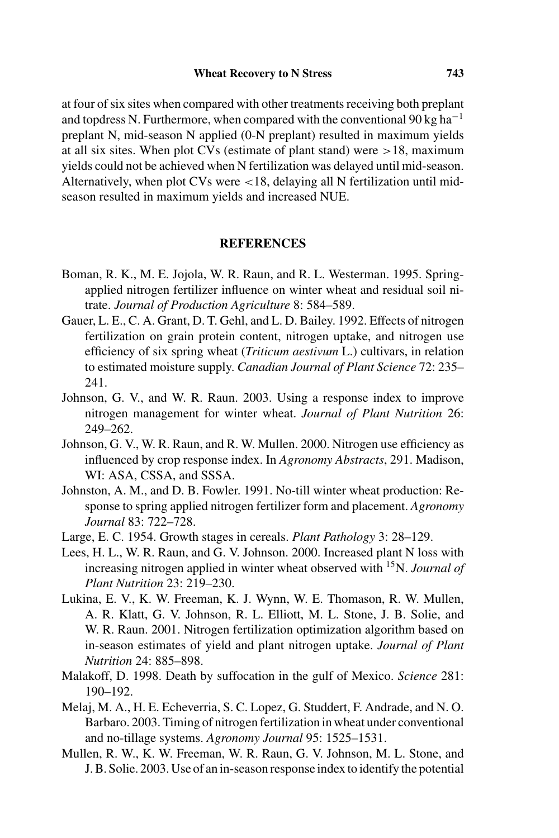at four of six sites when compared with other treatments receiving both preplant and topdress N. Furthermore, when compared with the conventional 90 kg ha<sup>-1</sup> preplant N, mid-season N applied (0-N preplant) resulted in maximum yields at all six sites. When plot CVs (estimate of plant stand) were  $>18$ , maximum yields could not be achieved when N fertilization was delayed until mid-season. Alternatively, when plot CVs were <18, delaying all N fertilization until midseason resulted in maximum yields and increased NUE.

## **REFERENCES**

- Boman, R. K., M. E. Jojola, W. R. Raun, and R. L. Westerman. 1995. Springapplied nitrogen fertilizer influence on winter wheat and residual soil nitrate. *Journal of Production Agriculture* 8: 584–589.
- Gauer, L. E., C. A. Grant, D. T. Gehl, and L. D. Bailey. 1992. Effects of nitrogen fertilization on grain protein content, nitrogen uptake, and nitrogen use efficiency of six spring wheat (*Triticum aestivum* L.) cultivars, in relation to estimated moisture supply. *Canadian Journal of Plant Science* 72: 235– 241.
- Johnson, G. V., and W. R. Raun. 2003. Using a response index to improve nitrogen management for winter wheat. *Journal of Plant Nutrition* 26: 249–262.
- Johnson, G. V., W. R. Raun, and R. W. Mullen. 2000. Nitrogen use efficiency as influenced by crop response index. In *Agronomy Abstracts*, 291. Madison, WI: ASA, CSSA, and SSSA.
- Johnston, A. M., and D. B. Fowler. 1991. No-till winter wheat production: Response to spring applied nitrogen fertilizer form and placement. *Agronomy Journal* 83: 722–728.
- Large, E. C. 1954. Growth stages in cereals. *Plant Pathology* 3: 28–129.
- Lees, H. L., W. R. Raun, and G. V. Johnson. 2000. Increased plant N loss with increasing nitrogen applied in winter wheat observed with 15N. *Journal of Plant Nutrition* 23: 219–230.
- Lukina, E. V., K. W. Freeman, K. J. Wynn, W. E. Thomason, R. W. Mullen, A. R. Klatt, G. V. Johnson, R. L. Elliott, M. L. Stone, J. B. Solie, and W. R. Raun. 2001. Nitrogen fertilization optimization algorithm based on in-season estimates of yield and plant nitrogen uptake. *Journal of Plant Nutrition* 24: 885–898.
- Malakoff, D. 1998. Death by suffocation in the gulf of Mexico. *Science* 281: 190–192.
- Melaj, M. A., H. E. Echeverria, S. C. Lopez, G. Studdert, F. Andrade, and N. O. Barbaro. 2003. Timing of nitrogen fertilization in wheat under conventional and no-tillage systems. *Agronomy Journal* 95: 1525–1531.
- Mullen, R. W., K. W. Freeman, W. R. Raun, G. V. Johnson, M. L. Stone, and J. B. Solie. 2003. Use of an in-season response index to identify the potential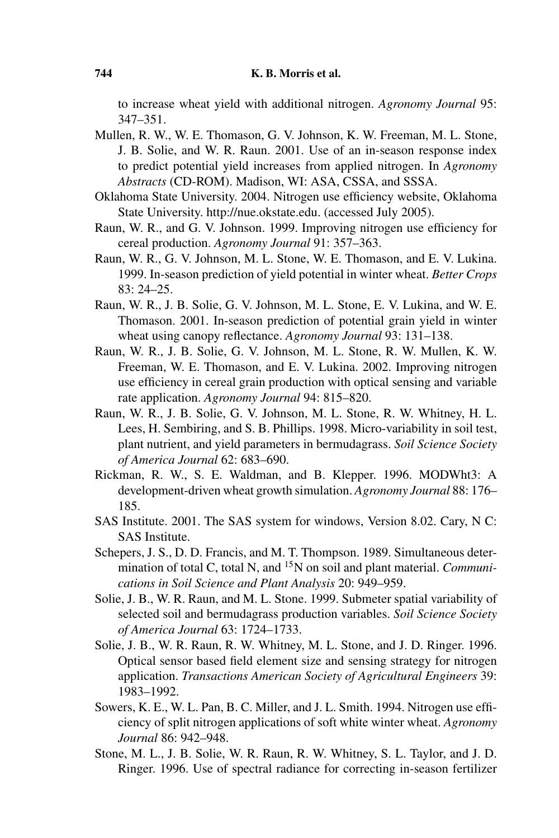to increase wheat yield with additional nitrogen. *Agronomy Journal* 95: 347–351.

- Mullen, R. W., W. E. Thomason, G. V. Johnson, K. W. Freeman, M. L. Stone, J. B. Solie, and W. R. Raun. 2001. Use of an in-season response index to predict potential yield increases from applied nitrogen. In *Agronomy Abstracts* (CD-ROM). Madison, WI: ASA, CSSA, and SSSA.
- Oklahoma State University. 2004. Nitrogen use efficiency website, Oklahoma State University. http://nue.okstate.edu. (accessed July 2005).
- Raun, W. R., and G. V. Johnson. 1999. Improving nitrogen use efficiency for cereal production. *Agronomy Journal* 91: 357–363.
- Raun, W. R., G. V. Johnson, M. L. Stone, W. E. Thomason, and E. V. Lukina. 1999. In-season prediction of yield potential in winter wheat. *Better Crops* 83: 24–25.
- Raun, W. R., J. B. Solie, G. V. Johnson, M. L. Stone, E. V. Lukina, and W. E. Thomason. 2001. In-season prediction of potential grain yield in winter wheat using canopy reflectance. *Agronomy Journal* 93: 131–138.
- Raun, W. R., J. B. Solie, G. V. Johnson, M. L. Stone, R. W. Mullen, K. W. Freeman, W. E. Thomason, and E. V. Lukina. 2002. Improving nitrogen use efficiency in cereal grain production with optical sensing and variable rate application. *Agronomy Journal* 94: 815–820.
- Raun, W. R., J. B. Solie, G. V. Johnson, M. L. Stone, R. W. Whitney, H. L. Lees, H. Sembiring, and S. B. Phillips. 1998. Micro-variability in soil test, plant nutrient, and yield parameters in bermudagrass. *Soil Science Society of America Journal* 62: 683–690.
- Rickman, R. W., S. E. Waldman, and B. Klepper. 1996. MODWht3: A development-driven wheat growth simulation. *Agronomy Journal* 88: 176– 185.
- SAS Institute. 2001. The SAS system for windows, Version 8.02. Cary, N C: SAS Institute.
- Schepers, J. S., D. D. Francis, and M. T. Thompson. 1989. Simultaneous determination of total C, total N, and 15N on soil and plant material. *Communications in Soil Science and Plant Analysis* 20: 949–959.
- Solie, J. B., W. R. Raun, and M. L. Stone. 1999. Submeter spatial variability of selected soil and bermudagrass production variables. *Soil Science Society of America Journal* 63: 1724–1733.
- Solie, J. B., W. R. Raun, R. W. Whitney, M. L. Stone, and J. D. Ringer. 1996. Optical sensor based field element size and sensing strategy for nitrogen application. *Transactions American Society of Agricultural Engineers* 39: 1983–1992.
- Sowers, K. E., W. L. Pan, B. C. Miller, and J. L. Smith. 1994. Nitrogen use efficiency of split nitrogen applications of soft white winter wheat. *Agronomy Journal* 86: 942–948.
- Stone, M. L., J. B. Solie, W. R. Raun, R. W. Whitney, S. L. Taylor, and J. D. Ringer. 1996. Use of spectral radiance for correcting in-season fertilizer